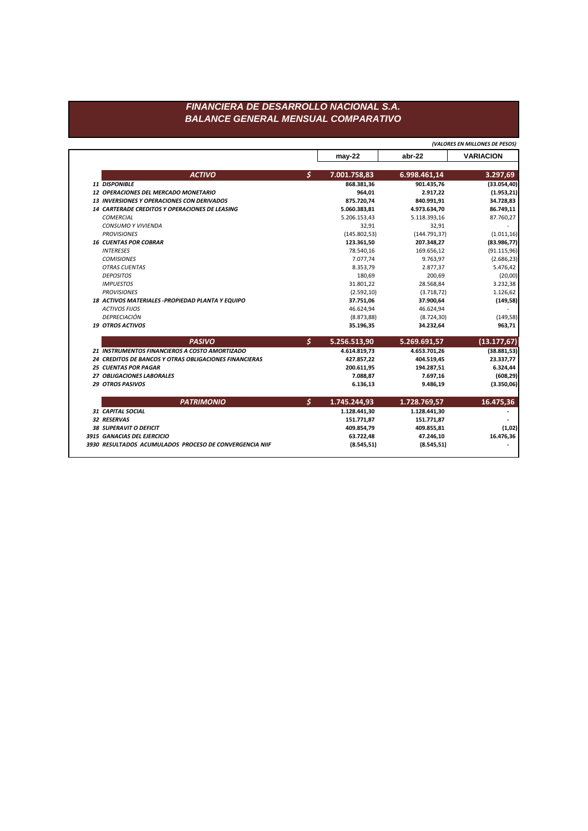## FINANCIERA DE DESARROLLO NACIONAL S.A. **BALANCE GENERAL MENSUAL COMPARATIVO**

(VALORES EN MILLONES DE PESOS)

|                                                         |                                                                                                                                                                                                                                                                                                                                                                                                                                                                                                                                                                                                                                                                                                                                                                                                                            | $may-22$      |                                                                                                           | <b>VARIACION</b>                                                                                                                  |
|---------------------------------------------------------|----------------------------------------------------------------------------------------------------------------------------------------------------------------------------------------------------------------------------------------------------------------------------------------------------------------------------------------------------------------------------------------------------------------------------------------------------------------------------------------------------------------------------------------------------------------------------------------------------------------------------------------------------------------------------------------------------------------------------------------------------------------------------------------------------------------------------|---------------|-----------------------------------------------------------------------------------------------------------|-----------------------------------------------------------------------------------------------------------------------------------|
| <b>ACTIVO</b>                                           | $\boldsymbol{\zeta}$                                                                                                                                                                                                                                                                                                                                                                                                                                                                                                                                                                                                                                                                                                                                                                                                       |               |                                                                                                           | 3.297,69                                                                                                                          |
|                                                         |                                                                                                                                                                                                                                                                                                                                                                                                                                                                                                                                                                                                                                                                                                                                                                                                                            | 868.381,36    | 901.435,76                                                                                                | (33.054, 40)                                                                                                                      |
|                                                         |                                                                                                                                                                                                                                                                                                                                                                                                                                                                                                                                                                                                                                                                                                                                                                                                                            | 964,01        | 2.917,22                                                                                                  | (1.953, 21)                                                                                                                       |
|                                                         |                                                                                                                                                                                                                                                                                                                                                                                                                                                                                                                                                                                                                                                                                                                                                                                                                            | 875.720,74    | 840.991,91                                                                                                | 34.728,83                                                                                                                         |
|                                                         |                                                                                                                                                                                                                                                                                                                                                                                                                                                                                                                                                                                                                                                                                                                                                                                                                            | 5.060.383,81  | 4.973.634,70                                                                                              | 86.749,11                                                                                                                         |
|                                                         |                                                                                                                                                                                                                                                                                                                                                                                                                                                                                                                                                                                                                                                                                                                                                                                                                            | 5.206.153,43  | 5.118.393,16                                                                                              | 87.760,27                                                                                                                         |
|                                                         |                                                                                                                                                                                                                                                                                                                                                                                                                                                                                                                                                                                                                                                                                                                                                                                                                            | 32,91         | 32,91                                                                                                     |                                                                                                                                   |
|                                                         |                                                                                                                                                                                                                                                                                                                                                                                                                                                                                                                                                                                                                                                                                                                                                                                                                            | (145.802, 53) | (144.791, 37)                                                                                             | (1.011, 16)                                                                                                                       |
|                                                         |                                                                                                                                                                                                                                                                                                                                                                                                                                                                                                                                                                                                                                                                                                                                                                                                                            |               |                                                                                                           | (83.986, 77)                                                                                                                      |
|                                                         |                                                                                                                                                                                                                                                                                                                                                                                                                                                                                                                                                                                                                                                                                                                                                                                                                            | 78.540,16     | 169.656,12                                                                                                | (91.115,96)                                                                                                                       |
|                                                         |                                                                                                                                                                                                                                                                                                                                                                                                                                                                                                                                                                                                                                                                                                                                                                                                                            | 7.077,74      | 9.763,97                                                                                                  | (2.686, 23)                                                                                                                       |
|                                                         |                                                                                                                                                                                                                                                                                                                                                                                                                                                                                                                                                                                                                                                                                                                                                                                                                            |               |                                                                                                           | 5.476,42                                                                                                                          |
|                                                         |                                                                                                                                                                                                                                                                                                                                                                                                                                                                                                                                                                                                                                                                                                                                                                                                                            |               |                                                                                                           | (20,00)                                                                                                                           |
|                                                         |                                                                                                                                                                                                                                                                                                                                                                                                                                                                                                                                                                                                                                                                                                                                                                                                                            | 31.801,22     | 28.568,84                                                                                                 | 3.232,38                                                                                                                          |
|                                                         |                                                                                                                                                                                                                                                                                                                                                                                                                                                                                                                                                                                                                                                                                                                                                                                                                            |               |                                                                                                           | 1.126,62                                                                                                                          |
|                                                         |                                                                                                                                                                                                                                                                                                                                                                                                                                                                                                                                                                                                                                                                                                                                                                                                                            |               |                                                                                                           | (149,58)                                                                                                                          |
|                                                         |                                                                                                                                                                                                                                                                                                                                                                                                                                                                                                                                                                                                                                                                                                                                                                                                                            | 46.624,94     | 46.624,94                                                                                                 |                                                                                                                                   |
|                                                         |                                                                                                                                                                                                                                                                                                                                                                                                                                                                                                                                                                                                                                                                                                                                                                                                                            | (8.873, 88)   | (8.724, 30)                                                                                               | (149,58)                                                                                                                          |
|                                                         |                                                                                                                                                                                                                                                                                                                                                                                                                                                                                                                                                                                                                                                                                                                                                                                                                            | 35.196,35     | 34.232,64                                                                                                 | 963,71                                                                                                                            |
| <b>PASIVO</b>                                           | $\mathcal{S}$                                                                                                                                                                                                                                                                                                                                                                                                                                                                                                                                                                                                                                                                                                                                                                                                              | 5.256.513,90  | 5.269.691,57                                                                                              | (13.177, 67)                                                                                                                      |
|                                                         |                                                                                                                                                                                                                                                                                                                                                                                                                                                                                                                                                                                                                                                                                                                                                                                                                            | 4.614.819,73  | 4.653.701,26                                                                                              | (38.881, 53)                                                                                                                      |
|                                                         |                                                                                                                                                                                                                                                                                                                                                                                                                                                                                                                                                                                                                                                                                                                                                                                                                            | 427.857,22    | 404.519,45                                                                                                | 23.337,77                                                                                                                         |
|                                                         |                                                                                                                                                                                                                                                                                                                                                                                                                                                                                                                                                                                                                                                                                                                                                                                                                            | 200.611,95    | 194.287,51                                                                                                | 6.324,44                                                                                                                          |
|                                                         |                                                                                                                                                                                                                                                                                                                                                                                                                                                                                                                                                                                                                                                                                                                                                                                                                            | 7.088,87      | 7.697,16                                                                                                  | (608, 29)                                                                                                                         |
|                                                         |                                                                                                                                                                                                                                                                                                                                                                                                                                                                                                                                                                                                                                                                                                                                                                                                                            | 6.136,13      | 9.486,19                                                                                                  | (3.350,06)                                                                                                                        |
| <b>PATRIMONIO</b>                                       | $\boldsymbol{\zeta}$                                                                                                                                                                                                                                                                                                                                                                                                                                                                                                                                                                                                                                                                                                                                                                                                       | 1.745.244,93  | 1.728.769,57                                                                                              | 16.475,36                                                                                                                         |
|                                                         |                                                                                                                                                                                                                                                                                                                                                                                                                                                                                                                                                                                                                                                                                                                                                                                                                            |               |                                                                                                           |                                                                                                                                   |
|                                                         |                                                                                                                                                                                                                                                                                                                                                                                                                                                                                                                                                                                                                                                                                                                                                                                                                            | 151.771,87    |                                                                                                           |                                                                                                                                   |
|                                                         |                                                                                                                                                                                                                                                                                                                                                                                                                                                                                                                                                                                                                                                                                                                                                                                                                            | 409.854,79    | 409.855,81                                                                                                | (1,02)                                                                                                                            |
|                                                         |                                                                                                                                                                                                                                                                                                                                                                                                                                                                                                                                                                                                                                                                                                                                                                                                                            |               |                                                                                                           | 16.476,36                                                                                                                         |
| 3930 RESULTADOS ACUMULADOS PROCESO DE CONVERGENCIA NIIF |                                                                                                                                                                                                                                                                                                                                                                                                                                                                                                                                                                                                                                                                                                                                                                                                                            | (8.545, 51)   | (8.545, 51)                                                                                               |                                                                                                                                   |
|                                                         | 11 DISPONIBLE<br>12 OPERACIONES DEL MERCADO MONETARIO<br>13 INVERSIONES Y OPERACIONES CON DERIVADOS<br>14 CARTERADE CREDITOS Y OPERACIONES DE LEASING<br><b>COMERCIAL</b><br>CONSUMO Y VIVIENDA<br><b>PROVISIONES</b><br><b>16 CUENTAS POR COBRAR</b><br><b>INTERESES</b><br><b>COMISIONES</b><br><b>OTRAS CUENTAS</b><br><b>DEPOSITOS</b><br><b>IMPUESTOS</b><br><b>PROVISIONES</b><br>18 ACTIVOS MATERIALES - PROPIEDAD PLANTA Y EQUIPO<br><b>ACTIVOS FIJOS</b><br>DEPRECIACIÓN<br><b>19 OTROS ACTIVOS</b><br>21 INSTRUMENTOS FINANCIEROS A COSTO AMORTIZADO<br>24 CREDITOS DE BANCOS Y OTRAS OBLIGACIONES FINANCIERAS<br><b>25 CUENTAS POR PAGAR</b><br>27 OBLIGACIONES LABORALES<br><b>29 OTROS PASIVOS</b><br><b>31 CAPITAL SOCIAL</b><br>32 RESERVAS<br><b>38 SUPERAVIT O DEFICIT</b><br>3915 GANACIAS DEL EJERCICIO |               | 7.001.758,83<br>123.361,50<br>8.353,79<br>180,69<br>(2.592, 10)<br>37.751,06<br>1.128.441,30<br>63.722,48 | abr-22<br>6.998.461,14<br>207.348,27<br>2.877,37<br>200,69<br>(3.718, 72)<br>37.900,64<br>1.128.441,30<br>151.771,87<br>47.246,10 |